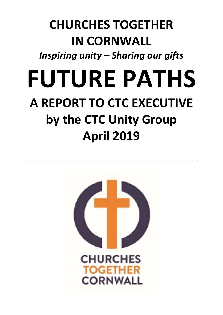## **CHURCHES TOGETHER IN CORNWALL**

*Inspiring unity – Sharing our gifts*

# **FUTURE PATHS A REPORT TO CTC EXECUTIVE by the CTC Unity Group April 2019**

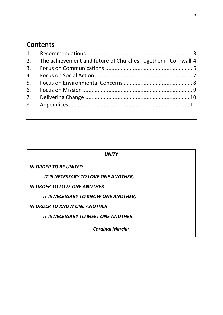## **Contents**

| 2. The achievement and future of Churches Together in Cornwall 4 |  |
|------------------------------------------------------------------|--|
|                                                                  |  |
|                                                                  |  |
|                                                                  |  |
|                                                                  |  |
|                                                                  |  |
|                                                                  |  |
|                                                                  |  |

| <i>UNITY</i>                                |  |  |  |  |  |
|---------------------------------------------|--|--|--|--|--|
| <b>IN ORDER TO BE UNITED</b>                |  |  |  |  |  |
| IT IS NECESSARY TO LOVE ONE ANOTHER,        |  |  |  |  |  |
| IN ORDER TO LOVE ONE ANOTHER                |  |  |  |  |  |
| IT IS NECESSARY TO KNOW ONE ANOTHER,        |  |  |  |  |  |
| IN ORDER TO KNOW ONE ANOTHER                |  |  |  |  |  |
| <b>IT IS NECESSARY TO MEET ONE ANOTHER.</b> |  |  |  |  |  |
| <b>Cardinal Mercier</b>                     |  |  |  |  |  |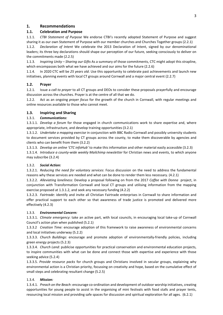#### **1. Recommendations**

#### **1.1. Celebration and Purpose**

1.1.1. *CTBI Statement of Purpose* We endorse CTBI's recently adopted Statement of Purpose and suggest sharing it as our own Statement of Purpose with our member churches and Churches Together groups (2.2.1)

1.1.2. *Declaration of Intent* We celebrate the 2013 Declaration of Intent, signed by our denominational leaders; its three key declarations should shape our perception of our future, seeking consciously to deliver on the commitments made (2.2.5)

1.1.3. *Inspiring Unity – Sharing our Gifts* As a summary of those commitments, CTC might adopt this strapline, which encompasses both what we have achieved and our aims for the future (2.2.6)

1.1.4. In 2020 CTC will be *25 years old*. Use this opportunity to celebrate past achievements and launch new initiatives, planning events with local CT groups around Cornwall and a major central event (2.2.7)

#### **1.2. Prayer**

1.2.1. Issue a *call to prayer* to all CT groups and DEOs to consider these proposals prayerfully and encourage discussion across the churches. Prayer is at the centre of all that we do.

1.2.2. Act as an ongoing *prayer focus* for the growth of the church in Cornwall, with regular meetings and online resources available to those who cannot meet.

#### **1.3. Inspiring and Sharing**

#### 1.3.1. *Communications:*

1.3.1.1. *Develop a forum* for those engaged in church communications work to share expertise and, where appropriate, infrastructure, and develop training opportunities (3.2.1)

1.3.1.2. *Undertake a mapping exercise* in conjunction with BBC Radio Cornwall and possibly university students to document services provided by CT groups across the county, to make them discoverable by agencies and clients who can benefit from them (3.2.2)

1.3.1.3. *Develop an online 'CTC infoHub'* to make this information and other material easily accessible (3.2.3)

1.3.1.4. *Introduce a county-wide weekly Mailchimp newsletter* for Christian news and events, to which anyone may subscribe (3.2.4)

#### 1.3.2. *Social Action:*

1.3.2.1. *Reducing the need for voluntary services*: Focus discussion on the need to address the fundamental reasons why these services are needed and what can be done to render them less necessary. (4.2.1)

1.3.2.2. *Alleviating loneliness:* Develop a proposal following on from the 2017 *Coffee with Donna* project, in conjunction with Transformation Cornwall and local CT groups and utilising information from the mapping exercise proposed at 1.3.1.2, and seek any necessary funding (4.2.2)

1.3.2.3. *Fairtrade*: identify and invite all Christian Fairtrade enterprises in Cornwall to share information and offer practical support to each other so that awareness of trade justice is promoted and delivered more effectively (4.2.3)

#### 1.3.3. *Environmental Concern:*

1.3.3.1. *Climate emergency*: take an active part, with local councils, in encouraging local take-up of Cornwall Council's action plan when published (5.2.1)

1.3.3.2 *Creation Time:* encourage adoption of this framework to raise awareness of environmental concerns and local initiatives underway (5.2.2)

1.3.3.3. *Church Buildings*: encourage and promote adoption of environmentally-friendly policies, including green energy projects (5.2.3)

1.3.3.4. *Church Land:* publicise opportunities for practical conservation and environmental education projects, to inspire communities with what can be done and connect those with expertise and experience with those seeking advice (5.2.4)

1.3.3.5. *Provide resource packs* for church groups and Christians involved in secular groups, explaining why environmental action is a Christian priority, focussing on creativity and hope, based on the cumulative effect of small steps and celebrating resultant change (5.2.5)

#### 1.3.4. *Mission:*

1.3.4.1. *Preach on the Beach*: encourage co-ordination and development of outdoor worship initiatives, creating opportunities for young people to assist in the organising of mini festivals with food stalls and prayer tents, resourcing local mission and providing safe spaces for discussion and spiritual exploration for all ages. (6.2.1)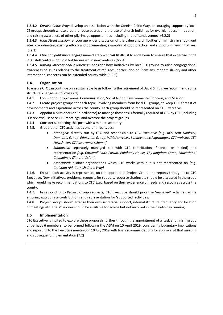1.3.4.2 *Cornish Celtic Way:* develop an association with the Cornish Celtic Way, encouraging support by local CT groups through whose area the route passes and the use of church buildings for overnight accommodation, and raising awareness of other pilgrimage opportunities including that of Landevennec. (6.2.2)

1.3.4.3 *High Street mission:* encourage wider discussion of the value and difficulties of ministry in shop-front sites, co-ordinating existing efforts and documenting examples of good practice, and supporting new initiatives. (6.2.3)

1.3.4.4 *Christian publishing:* engage immediately with SACREdtrust to endeavour to ensure that expertise in the St Austell centre is not lost but harnessed in new ventures (6.2.4)

1.3.4.5 *Raising international awareness:* consider how initiatives by local CT groups to raise congregational awareness of issues relating to the treatment of refugees, persecution of Christians, modern slavery and other international concerns can be extended county-wide (6.2.5)

#### **1.4. Organisation**

To ensure CTC can continue on a sustainable basis following the retirement of David Smith, we **recommend** some structural changes as follows (7.1):

1.4.1 Focus on four topic areas: Communication, Social Action, Environmental Concern, and Mission.

1.4.2 Create project groups for each topic, involving members from local CT groups, to keep CTC abreast of developments and aspirations across the county. Each group should be represented on CTC Executive.

1.4.3 Appoint a Missioner (or Co-ordinator) to manage those tasks formally required of CTC by CTE (including LEP reviews), service CTC meetings, and oversee the project groups.

1.4.4 Consider supporting this post with a minute secretary.

1.4.5. Group other CTC activities as one of three types:

- *Managed*: directly run by CTC and responsible to CTC Executive *[e.g. RCS Tent Ministry, Dementia Group, Education Group, WPCU services, Landevennec Pilgrimages, CTC website, CTC Newsletter, CTC insurance scheme]*
- *Supported:* separately managed but with CTC contribution (financial or in-kind) and representation *[e.g. Cornwall Faith Forum, Epiphany House, Thy Kingdom Come, Educational Chaplaincy, Climate Vision].*
- *Associated*: distinct organisations which CTC works with but is not represented on *[e.g. Christian Aid, Cornish Celtic Way]*

1.4.6. Ensure each activity is represented on the appropriate Project Group and reports through it to CTC Executive. New initiatives, problems, requests for support, resource sharing etc should be discussed in the group which would make recommendations to CTC Exec, based on their experience of needs and resources across the county.

1.4.7. In responding to Project Group requests, CTC Executive should prioritise 'managed' activities, while ensuring appropriate contributions and representation for 'supported' activities.

1.4.8. Project Groups should arrange their own secretarial support, internal structure, frequency and location of meetings etc. The Missioner should be available for advice but not involved in the day-to-day running.

#### **1.5 Implementation**

CTC Executive is invited to explore these proposals further through the appointment of a 'task and finish' group of perhaps 6 members, to be formed following the AGM on 10 April 2019, considering budgetary implications and reporting to the Executive meeting on 10 July 2019 with final recommendations for approval at that meeting and subsequent implementation (7.2)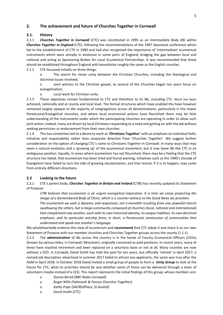#### **2. The achievement and future of Churches Together in Cornwall**

#### **2.1. History**

2.1.1 *Churches Together in Cornwall* (CTC) was constituted in 1995 as an *Intermediate Body* (IB) within *Churches Together in England* (CTE), following the recommendations of the 1987 Swanwick conference which led to the establishment of CTE in 1990 and had also recognised the importance of 'intermediate' ecumenical instruments which were already in existence in some parts of England, bridging the gap between local and national and acting as Sponsoring Bodies for Local Ecumenical Partnerships. It was recommended that these should be established throughout England with boundaries roughly the same as the English counties.

2.1.2 CTE focussed initially on three things:

o The search for closer unity between the Christian Churches, including the theological and doctrinal issues involved;

o Joint witness to the Christian gospel, as several of the Churches began ten years focus on evangelisation;

o Local work for Christian unity.

2.1.3 These objectives remain fundamental to CTE and therefore to its IBs, including CTC. Much has been achieved, nationally and at county and local level. The formal structures which have enabled this have however remained largely opaque to the majority of congregations across all denominations, particularly in the newer Pentecostal/Evangelical churches, and where local ecumenical actions have flourished there may be little understanding of the instruments under which the participating churches are operating in order to allow such joint action; indeed, many are driven by local Christians responding to a need and getting on with the job without seeking permission or endorsement from their own churches.

2.1.4 This has sometimes led to a desire to work as '**Christians Together**' with an emphasis on individual faith, initiative and responsibility rather than corporate direction from 'Churches Together'. We suggest further consideration on the option of changing CTC's name to Christians Together in Cornwall. In many ways that may seem a natural evolution and a 'growing up' of the ecumenical movement, but it may leave IBs like CTC in an ambiguous position. Equally, in areas where ecumenism has not flourished, there may be a feeling that the CTE structure has failed, that ecumenism has been tried and found wanting, initiatives such as the 1990's Decade of Evangelism have failed to turn the tide of growing secularisation, and that revival, if it is to happen, may come from entirely different directions.

#### **2.2 Looking to the future**

2.2.1 CTE's parent body, *Churches Together in Britain and Ireland* (CTBI) has recently updated its Statement of Purpose:

*CTBI believes that ecumenism is an urgent evangelical imperative. It is time we cease projecting the image of a dismembered Body of Christ, which is a counter-witness to the Good News we proclaim.*

*The ecumenism we seek is dynamic and responsive; not a monolith resulting from one powerful church swallowing the others, but a mega-community composed of churches (local, national and international) that complement one another, each with its own historical identity, its unique tradition, its own doctrinal emphasis, and its particular worship form; in short, a Pentecostal communion of communities that understand and speak one another's language.*

We wholeheartedly endorse this view of ecumenism and **recommend** that CTC adopt it and share it as our own Statement of Purpose with our member churches and Churches Together groups across the county (1.1.1)

2.2.2 The *administration* of IBs across the country is in the hands of County Ecumenical Officers (CEOs) (known by various titles; in Cornwall, Missioner), originally conceived as paid positions. In recent years, many of these have reached retirement and been replaced on a voluntary basis or not at all. Many counties are now without a CEO. In Cornwall, David Smith has held the post for ten years, but officially 'retired' in April 2017; a revised job description advertised in summer 2017 failed to attract any applicants; the same was true after the AGM in April 2018. In October 2018 David invited a small group of people to form a *Unity Group* to look at the future for CTC, what its priorities should be and whether some of these can be delivered through a team of volunteers maybe instead of a CEO. This report represents the initial findings of this group, whose members are:

- o *Donna Birrell (BBC Radio Cornwall)*
- o *Roger Mills (Falmouth & Penryn Churches Together)*
- o *Kathy Pope (SACREdPlace, St Austell)*
- o *David Smith (CTC)*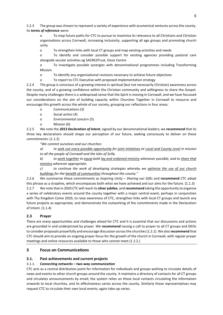2.2.3 The group was chosen to represent a variety of experience with ecumenical ventures across the county. Its *terms of reference* were:

o To map future paths for CTC to pursue to maximise its relevance to all Christians and Christian organisations across Cornwall, increasing inclusivity, supporting all age groups and promoting church unity

o To strengthen links with local CT groups and map existing activities and needs

o To identify and consider possible support for existing agencies providing pastoral care alongside secular activities eg SACREdTrust, Oasis Centre

o To investigate possible synergies with denominational programmes including Transforming Mission

o To identify any organisational revisions necessary to achieve future objectives

o To report to CTC Executive with proposed implementation strategy

2.2.4 The group is conscious of a growing interest in spiritual (but not necessarily Christian) awareness across the county, and of a growing confidence within the Christian community and willingness to share the Gospel. Despite many challenges there is a widespread sense that the Spirit is moving in Cornwall, and we have focussed our considerations on the aim of building capacity within Churches Together in Cornwall to resource and encourage this growth across the whole of our society, grouping our reflections in four areas:

- o Communications (3)
- o Social action (4)
- o Environmental concern (5)
- o Mission (6)

2.2.5 We note the *2013 Declaration of Intent*, signed by our denominational leaders; we **recommend** that its three key declarations should shape our perception of our future, seeking consciously to deliver on these commitments: (1.1.2)

*"We commit ourselves and our churches:*

*a) to seek out every possible opportunity for joint initiatives at Local and County Level in mission to all the people of Cornwall and the Isles of Scilly.* 

*b) to work together to equip both lay and ordained ministry whenever possible, and to share that ministry wherever appropriate.* 

*c) to continue the work of developing strategies whereby we optimise the use of our church buildings for the benefit of communities throughout the county."*

2.2.6 We summarise these commitments as *Inspiring Unity – Sharing our Gifts* and **recommend** CTC adopt this phrase as a strapline, which encompasses both what we have achieved and our aims for the future. (1.1.3) 2.2.7 We note that in 2020 CTC will reach its **silver jubilee**, and **recommend** taking the opportunity to organise a series of celebratory events around the county together with a major central event, perhaps in conjunction with Thy Kingdom Come 2020, to raise awareness of CTC, strengthen links with local CT groups and launch any future projects as appropriate, and demonstrate the outworking of the commitments made in the Declaration of Intent. (1.1.4)

#### **2.3 Prayer**

There are many opportunities and challenges ahead for CTC and it is essential that our discussions and actions are grounded in and underpinned by prayer. We **recommend** issuing a call to prayer to all CT groups and DEOs to consider proposals prayerfully and encourage discussion across the churches(1.2.1). We also **recommend** that CTC should aim to provide an ongoing prayer focus for the growth of the church in Cornwall, with regular prayer meetings and online resources available to those who cannot meet (1.2.2.)

#### **3 Focus on Communications**

#### **3.1. Past achievements and current projects**

#### 3.1.1. *Connecting networks – two-way communication*

CTC acts as a central distribution point for information for individuals and groups wishing to circulate details of news and events to other church groups around the county. It maintains a directory of contacts for all CT groups and circulates announcements by email; the system relies on those local contacts circulating the information onwards to local churches, and its effectiveness varies across the county. Similarly those representatives may request CTC to circulate their own local events; again take-up varies.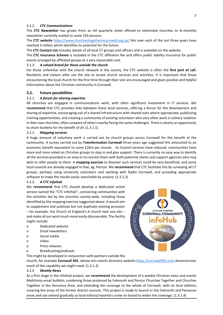#### 3.1.2. *CTC Communications*

The **CTC Newsletter** has grown from an A4 quarterly sheet offered to interested churches to bi-monthly newsletter currently mailed to some 150 persons.

The **CTC website** <https://www.churchestogetherincornwall.org.uk/> hits over each of the last three years have reached 3 million which identifies its potential for the future.

The **CTC Contact List** includes details of all local CT groups and officers and is available on the website.

The **CTC Insurance Scheme** is included in the CTC affiliation fee and offers public liability insurance for public events arranged by affiliated groups at a very reasonable cost.

#### 3.1.3. *A valued brand for those outside the church*

For those unfamiliar with the church network in the county, the CTC website is often the **first port of call.** Residents and visitors alike use the site to locate church services and activities. It is important that those encountering the local church for the first time through their visit are encouraged and given positive and helpful information about the Christian community in Cornwall.

#### **3.2. Future possibilities**

#### 3.2.1. *A forum for sharing expertise*

All churches are engaged in communications work, with often significant investment in IT services. We **recommend** that CTC provides links between these local services, offering a forum for the development and sharing of expertise, encouraging use of a shared infrastructure with shared costs where appropriate, publicising training opportunities, and creating a community of existing volunteers who very often work in solitary isolation in their own churches, often unaware of others nearby facing the same challenges. There is clearly an opportunity to share burdens for the benefit of all. (1.3.1.1)

#### 3.2.1. *Mapping services*

A huge amount of voluntary work is carried out by church groups across Cornwall for the benefit of the community. A survey carried out by **Transformation Cornwall** three years ago suggested this amounted to an economic benefit equivalent to some £26m per annum. As Council services have reduced, communities have more and more relied on Christian groups to step in and give support. There is currently no easy way to identify all the services provided in an area or to connect them with both potential clients and support agencies who may wish to refer people to them. A **mapping exercise** to discover such services could be very beneficial, and some local councils are already engaged in that, eg. Penryn. We **recommend** that CTC facilitate this by surveying all CT groups, perhaps using university volunteers and working with Radio Cornwall, and providing appropriate software to make the results easily searchable by anyone. (1.3.1.2)

#### 3.2.3. *A CTC infoHub*

We **recommend** that CTC should develop a dedicated online service named the "CTC infoHub", connecting communities with the activities led by the churches county-wide, including those identified by the mapping exercise suggested above. It would aim to supplement and publicise but not duplicate existing provision – for example, the Church of England's *A church near you* site – and make all our work much more easily discoverable. The facility might include:

- o Dedicated website
- o Email newsletters
- o Social media
- o Video
- o Press releases
- o Broadcasting/podcasts

This might be developed in conjunction with partners outside the

church, for example **Cornwall 365**, whose arts events directory website [https://cornwall365.com](https://cornwall365.com/) demonstrates much of the capability we might need. (1.3.1.3)

#### 3.2.4 *Weekly News*

As a first stage in the infoHub project, we **recommend** the development of a weekly Christian news and events Mailchimp email bulletin, combining those produced by Falmouth and Penryn Churches Together and Churches Together in the Penzance Area, and extending the coverage to the whole of Cornwall, with six local editions covering the areas of the former district councils. This project is ready to launch in the Falmouth and Penzance areas and can extend gradually as local editors/reporters come on board to widen the coverage. (1.3.1.4)

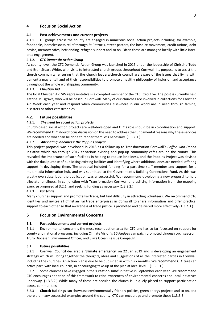#### **4 Focus on Social Action**

#### **4.1 Past achievements and current projects**

4.1.1. CT groups across the county are engaged in numerous social action projects including, for example, foodbanks, homelessness relief through St Petroc's, street pastors, the hospice movement, credit unions, debt advice, memory cafes, befriending, refugee support and so on. Often these are managed locally with little interarea engagement.

#### 4.1.2. *CTC Dementia Action Group*

At county level, the CTC Dementia Action Group was launched in 2015 under the leadership of Christine Todd and Bren Stuart White, with visits to interested church groups throughout Cornwall. Its purpose is to assist the church community, ensuring that the church leaders/church council are aware of the issues that living with dementia may entail and of their responsibilities to promote a healthy philosophy of inclusion and acceptance throughout the whole worshipping community.

#### 4.1.3. *Christian Aid*

The local Christian Aid SW representative is a co-opted member of the CTC Executive. The post is currently held Katrina Musgrave, who will be based in Cornwall. Many of our churches are involved in collections for Christian Aid Week each year and respond when communities elsewhere in our world are in need through famine, disasters or other catastrophies.

#### **4.2. Future possibilities**

#### 4.2.1. *The need for social action projects*

Church-based social action projects are well-developed and CTC's role should be in co-ordination and support. We **recommend** CTC should focus discussion on the need to address the fundamental reasons why these services are needed and what can be done to render them less necessary. (1.3.2.1.)

#### 4.2.2. *Alleviating loneliness: the Poppins project*

This project proposal was developed in 2018 as a follow-up to Transformation Cornwall's *Coffee with Donna* initiative which ran through 2017 at various existing and pop-up community cafes around the county. This revealed the importance of such facilities in helping to reduce loneliness, and the Poppins Project was devised with the dual purpose of publicising existing facilities and identifying where additional ones are needed, offering support in developing them. The proposal included funding for a part-time staff member and support for a multimedia information hub, and was submitted to the Government's Building Connections Fund. As this was greatly oversubscribed, the application was unsuccessful. We **recommend** developing a new proposal to help alleviate loneliness, in conjunction with Transformation Cornwall and utilising information from the mapping exercise proposed at 3.2.1, and seeking funding as necessary (1.3.2.2.)

#### 4.2.3 *Fairtrade*

Many churches support and promote Fairtrade, but find difficulty in attracting volunteers. We **recommend** CTC identifies and invites all Christian Fairtrade enterprises in Cornwall to share information and offer practical support to each other so that awareness of trade justice is promoted and delivered more effectively (1.3.2.3.)

#### **5 Focus on Environmental Concerns**

#### **5.1. Past achievements and current projects**

5.1.1 Environmental concern is the most recent action area for CTC and has so far focussed on support for county and national programs, including Climate Vision's *10 Pledges* campaign promoted through Luci Isaacson, Truro Diocesan Environment Officer, and Sky's Ocean Rescue Campaign.

#### **5.2. Future possibilities**

5.2.1 Cornwall Council declared a '**climate emergency**' on 22 Jan 2019 and is developing an engagement strategy which will bring together the thoughts, ideas and suggestions of all the interested parties in Cornwall including the churches. An action plan is due to be published in within six months. We **recommend** CTC takes an active part, with local councils, in encouraging take-up of the plan at local level. (1.3.3.1.)

5.2.2 Some churches have engaged in the '**Creation Time**' initiative in September each year. We **recommend** CTC encourages adoption of this framework to raise awareness of environmental concerns and local initiatives underway. (1.3.3.2.) While many of these are secular, the church is uniquely placed to support participation across communities.

5.2.3 **Church buildings** can showcase environmentally-friendly policies, green energy projects and so on, and there are many successful examples around the county. CTC can encourage and promote these (1.3.3.3.)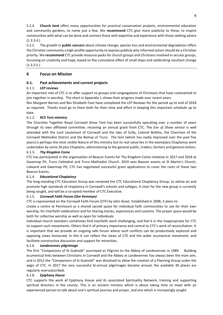5.2.4 **Church land** offers many opportunities for practical conservation projects, environmental education and community gardens, to name just a few. We **recommend** CTC give more publicity to these, to inspire communities with what can be done and connect those with expertise and experience with those seeking advice (1.3.3.4.)

5.2.5 The growth in **public concern** about climate change, species loss and environmental degradation offers the Christian community a high-profile opportunity to express publicly why informed action should be a Christian priority. We **recommend** CTC provide resource packs for church groups and Christians involved in secular groups, focussing on creativity and hope, based on the cumulative effect of small steps and celebrating resultant change (1.3.3.5.)

#### **6 Focus on Mission**

#### **6.1. Past achievements and current projects**

#### 6.1.1. *LEP reviews*

An important role of CTC is to offer support to groups and congregations of Christians that have covenanted to join together in worship. The chart in Appendix 1 shows their progress made over recent years.

Rev Margaret Barnes and Rev Elizabeth Foot have completed the LEP Reviews for the period up to end of 2018 as required. Thanks must go to them both for their time and effort in keeping this important schedule up to date.

#### 6.1.2. *RCS Tent ministry*

The Churches Together Royal Cornwall Show Tent has been successfully operating over a number of years through its own affiliated committee, receiving an annual grant from CTC. The *Eve of Show service* is well attended with the Lord Lieutenant of Cornwall and the Isles of Scilly, Colonel Bolitho, the Chairman of the Cornwall Methodist District and the Bishop of Truro. The tent (which has vastly improved over the past five years) is perhaps the most visible feature of this ministry but its real value lies in the exemplary Chaplaincy work undertaken by some 20 plus Chaplains, administering to the general public, traders, farmers and general visitors.

#### 6.1.3. *Thy Kingdom Come*

CTC has participated in the organisation of Beacon Events for Thy Kingdom Come initiative in 2017 and 2018 at Gwennap Pit, Truro Cathedral and Truro Methodist Church. 2019 sees Beacon events at St Martin's Church, Liskeard and Gwennap Pit; CTC has negotiated successful grant applications to cover the costs of these two Beacon Events.

#### 6.1.4. *Educational Chaplaincy*

The long-standing CTC Education Group was renamed the CTC Educational Chaplaincy Group, to advise on and promote high standards of chaplaincy in Cornwall's schools and colleges. A chair for the new group is currently being sought, and will be a co-opted member of CTC Executive.

#### 6.1.5. *Cornwall Faith Forum (Dor Kemmyn)*

CTC is represented on the Cornwall Faith Forum (CFF) by John Keast. Established in 2008, it plans to

create a centre at Penmount as a shared sacred space for individual faith communities to use for their own worship, for interfaith celebrations and for sharing stories, experiences and customs. The prayer space would be both for collective worship as well as open for individuals.

Individual church members sometimes find interfaith work challenging, and feel it in the inappropriate for CTC to support such movements. Others find it of primary importance and central to CTC's work of reconciliation. It is important that we provide an ongoing safe forum where such conflicts can be productively explored and opposing views honoured. In this it can reflect the views of CTE and the wider ecumenical movement, and facilitate constructive discussion and support for minorities.

#### 6.1.6. *Landevennec pilgrimage*

The first "Companions of St Guènolè" journeyed as Pilgrims to the Abbey of Landevennec in 1989. Building ecumenical links between Christians in Cornwall and the Abbey at Landevennec has always been the main aim, and in 2012 the "Companions of St Guènolè" was dissolved to allow the creation of a Planning Group under the aegis of CTC. In 2017 the very successful bi-annual pilgrimages became annual; the available 30 places are regularly oversubscribed.

#### 6.1.8. *Epiphany House*

CTC supports the work of Epiphany House and its associated Spirituality Network, training and supporting spiritual directors in the county. This is an ancient ministry which is about taking time to meet with an experienced person to talk about one's spiritual journey and prayer, and one which is increasingly sought.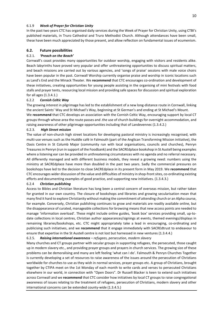#### 6.1.9 *Week of Prayer for Christian Unity*

In the past two years CTC has organised daily services during the Week of Prayer for Christian Unity, using CTBI's published materials, in Truro Cathedral and Truro Methodist Church. Although attendances have been small, these have been much appreciated by those present, and allow reflection on fundamental issues of ecumenism.

#### **6.2. Future possibilities**

#### 6.2.1. *'Preach on the Beach'*

Cornwall's coast provides many opportunities for outdoor worship, engaging with visitors and residents alike. Beach labyrinths have proved very popular and offer unthreatening opportunities to discuss spiritual matters, and beach missions are carried out by various agencies, and 'songs of praise' sessions with male voice choirs have been popular in the past. Cornwall Worship currently organise praise and worship in iconic locations such as Land's End and the Minack Theater. We **recommend** that CTC encourages co-ordination and development of these initiatives, creating opportunities for young people assisting in the organising of mini festivals with food stalls and prayer tents, resourcing local mission and providing safe spaces for discussion and spiritual exploration for all ages (1.3.4.1.)

#### 6.2.2 *Cornish Celtic Way*

The growing interest in pilgrimage has led to the establishment of a new long-distance route in Cornwall, linking the ancient Saints' Way and St Michael's Way, beginning at St German's and ending at St Michael's Mount.

We **recommend** that CTC develops an association with the Cornish Celtic Way, encouraging support by local CT groups through whose area the route passes and .the use of church buildings for overnight accommodation, and raising awareness of other pilgrimage opportunities including that of Landevennec (1.3.4.2.)

#### 6.2.3. *High Street mission*

The value of non-church high street locations for developing pastoral ministry is increasingly recognised, with multi-use venues such as the Huddle café in Falmouth (part of the Anglican Transforming Mission initiative), the Oasis Centre in St Columb Major (community run with local organisations, councils and churches), Penryn Treasures in Penryn (run in support of the Foodbank) and the SACREdplace bookshop in St Austell being examples where a listening ear can be provided in unthreatening circumstances with no agenda and no referral necessary. All differently managed and with different business models, they reveal a growing need: numbers using the ministry at SACREdplace have more than doubled in the past two years. Sadly the commercial pressures on bookshops have led to the decision to close SACREdplace in its present form in May 2019. We **recommend** that CTC encourages wider discussion of the value and difficulties of ministry in shop-front sites, co-ordinating existing efforts and documenting examples of good practice, and supporting new initiatives. (1.3.4.3.)

#### 6.2.4 *Christian publishing*

Access to Bibles and Christian literature has long been a central concern of overseas mission, but rather taken for granted in our own country. The closure of bookshops and libraries and growing secularisation mean that many find it hard to explore Christianity without making the commitment of attending church or an Alpha course, for example. Conversely, Christian publishing continues to grow and materials are readily available online, but the disappearance of curated, manageable collections for browsing means that new access points are needed to manage 'information overload'. These might include online guides, 'book box' services providing small, up-todate collections in local centres, Christian author appearances/signings at events, themed evenings/displays in remaining libraries/bookshops, etc. CTC might appropriately take a lead in encouraging, co-ordinating and publicising such initiatives, and we **recommend** that it engage immediately with SACREdtrust to endeavour to ensure that expertise in the St Austell centre is not lost but harnessed in new ventures (1.3.4.4.)

#### 6.2.5. *Raising international awareness – refugees, persecution, modern slavery*

Many churches and CT groups partner with secular groups in supporting refugees, the persecuted, those caught up in modern slavery etc., and providing prayer groups and prayers in church services. The growing size of these problems can be demoralising and many are left feeling 'what can I do'. Falmouth & Penryn Churches Together is currently developing a set of resources to raise awareness of the issues around the persecution of Christians worldwide for churches to use as they wish in normal services, prayer groups etc. A group of Christians, brought together by CTIPA meet on the 1st Monday of each month to write cards and verses to persecuted Christians elsewhere in our world, in connection with "Open Doors". Dr Russell Blacker is keen to extend such initiatives across Cornwall and we **recommend** that CTC consider how initiatives by local CT groups to raise congregational awareness of issues relating to the treatment of refugees, persecution of Christians, modern slavery and other international concerns can be extended county-wide (1.3.4.5.)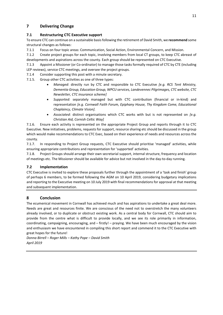#### **7 Delivering Change**

#### **7.1 Restructuring CTC Executive support**

To ensure CTC can continue on a sustainable basis following the retirement of David Smith, we **recommend** some structural changes as follows:

7.1.1 Focus on four topic areas: Communication, Social Action, Environmental Concern, and Mission.

7.1.2 Create project groups for each topic, involving members from local CT groups, to keep CTC abreast of developments and aspirations across the county. Each group should be represented on CTC Executive.

7.1.3 Appoint a Missioner (or Co-ordinator) to manage those tasks formally required of CTC by CTE (including LEP reviews), service CTC meetings, and oversee the project groups.

7.1.4 Consider supporting this post with a minute secretary.

- 7.1.5. Group other CTC activities as one of three types:
	- *Managed*: directly run by CTC and responsible to CTC Executive *[e.g. RCS Tent Ministry, Dementia Group, Education Group, WPCU services, Landevennec Pilgrimages, CTC website, CTC Newsletter, CTC insurance scheme]*
	- *Supported:* separately managed but with CTC contribution (financial or in-kind) and representation *[e.g. Cornwall Faith Forum, Epiphany House, Thy Kingdom Come, Educational Chaplaincy, Climate Vision].*
	- *Associated*: distinct organisations which CTC works with but is not represented on *[e.g. Christian Aid, Cornish Celtic Way]*

7.1.6. Ensure each activity is represented on the appropriate Project Group and reports through it to CTC Executive. New initiatives, problems, requests for support, resource sharing etc should be discussed in the group which would make recommendations to CTC Exec, based on their experience of needs and resources across the county.

7.1.7. In responding to Project Group requests, CTC Executive should prioritise 'managed' activities, while ensuring appropriate contributions and representation for 'supported' activities.

7.1.8. Project Groups should arrange their own secretarial support, internal structure, frequency and location of meetings etc. The Missioner should be available for advice but not involved in the day-to-day running.

#### **7.2 Implementation**

CTC Executive is invited to explore these proposals further through the appointment of a 'task and finish' group of perhaps 6 members, to be formed following the AGM on 10 April 2019, considering budgetary implications and reporting to the Executive meeting on 10 July 2019 with final recommendations for approval at that meeting and subsequent implementation.

#### **8 Conclusion**

The ecumenical movement in Cornwall has achieved much and has aspirations to undertake a great deal more. Needs are great and resources finite. We are conscious of the need not to overstretch the many volunteers already involved, or to duplicate or obstruct existing work. As a central body for Cornwall, CTC should aim to provide from the centre what is difficult to provide locally, and we see its role primarily in information, coordinating, campaigning, encouraging, and – firstly! – praying. We have been much encouraged by the vision and enthusiasm we have encountered in compiling this short report and commend it to the CTC Executive with great hopes for the future!

*Donna Birrell – Roger Mills – Kathy Pope – David Smith April 2019*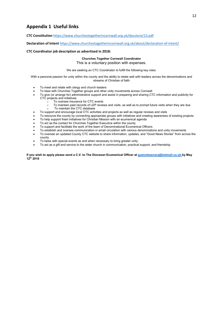#### **Appendix 1 Useful links**

**CTC Constitution** <https://www.churchestogetherincornwall.org.uk/docstore/13.pdf>

**Declaration of Intent** <https://www.churchestogetherincornwall.org.uk/about/declaration-of-intent/>

#### **CTC Coordinator job description as advertised in 2018:**

#### **Churches Together Cornwall Coordinator**

This is a voluntary position with expenses.

We are seeking an CTC Coordinator to fulfill the following key roles:

With a personal passion for unity within the county and the ability to relate well with leaders across the denominations and streams of Christian of faith

- To meet and relate with clergy and church leaders
- To liase with Churches Together groups and other unity movements across Cornwall<br>• To give (or arrange for) administrative support and assist in preparing and sharing CT
- To give (or arrange for) administrative support and assist in preparing and sharing CTC information and publicity for CTC projects and initiatives
	- $\overline{\circ}$  To oversee insurance for CTC events<br>  $\circ$  To maintain past records of LEP review
	- $\circ$  To maintain past records of LEP reviews and visits, as well as to prompt future visits when they are due<br>  $\circ$  To maintain the CTC database
	- To maintain the CTC database
- To support and encourage local CTC activities and projects as well as regular reviews and visits
- To resource the county by connecting appropriate groups with initiatives and creating awareness of existing projects
- To help support fresh initiatives for Christian Mission with an ecumenical agenda
- To act as the contact for Churches Together Executive within the county
- To support and facilitate the work of the team of Denominational Ecumenical Officers
- To establish and oversee communication in email circulation with various denominations and unity movements
- To oversee an updated County CTC website to share information, updates, and "Good News Stories" from across the county
- To liaise with special events as and when necessary to bring greater unity
- To act as a gift and service to the wider church in communication, practical support, and friendship

**If you wish to apply please send a C.V. to The Diocesan Ecumenical Officer at [guenolesenara@hotmail.co.uk](mailto:guenolesenara@hotmail.co.uk) by May 12th 2018**